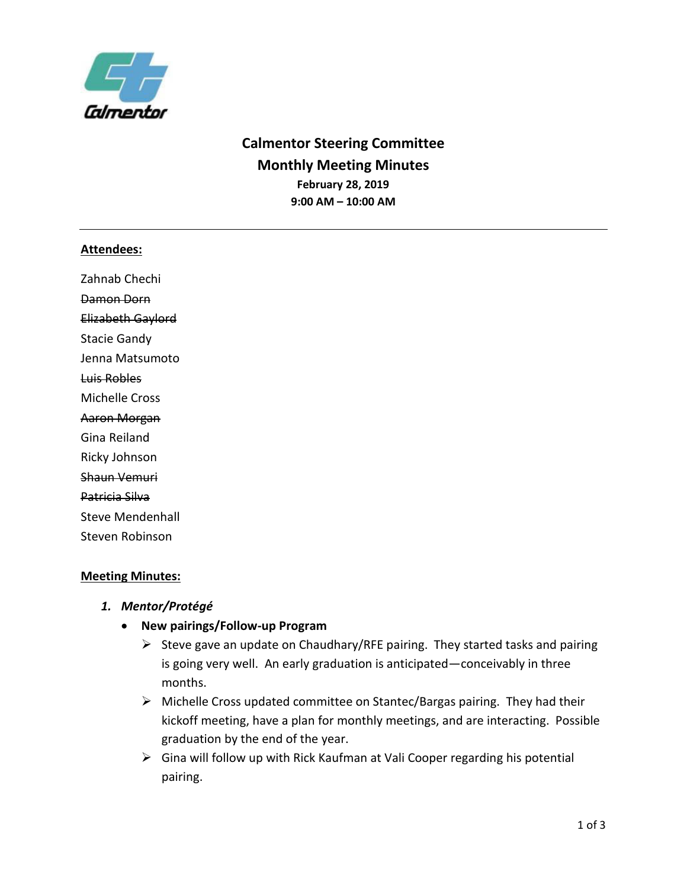

# **Calmentor Steering Committee Monthly Meeting Minutes February 28, 2019 9:00 AM – 10:00 AM**

#### **Attendees:**

Zahnab Chechi Damon Dorn Elizabeth Gaylord Stacie Gandy Jenna Matsumoto Luis Robles Michelle Cross Aaron Morgan Gina Reiland Ricky Johnson Shaun Vemuri Patricia Silva Steve Mendenhall Steven Robinson

## **Meeting Minutes:**

- *1. Mentor/Protégé* 
	- **New pairings/Follow-up Program** 
		- $\triangleright$  Steve gave an update on Chaudhary/RFE pairing. They started tasks and pairing is going very well. An early graduation is anticipated—conceivably in three months.
		- ➢ Michelle Cross updated committee on Stantec/Bargas pairing. They had their kickoff meeting, have a plan for monthly meetings, and are interacting. Possible graduation by the end of the year.
		- $\triangleright$  Gina will follow up with Rick Kaufman at Vali Cooper regarding his potential pairing.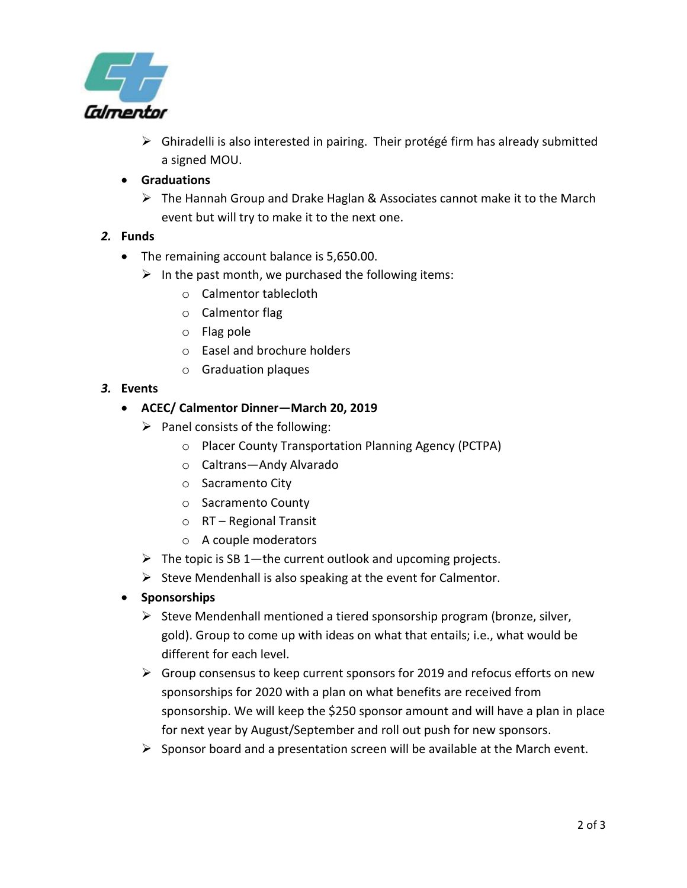

- ➢ Ghiradelli is also interested in pairing. Their protégé firm has already submitted a signed MOU.
- **Graduations** 
	- $\triangleright$  The Hannah Group and Drake Haglan & Associates cannot make it to the March event but will try to make it to the next one.

## *2.* **Funds**

- The remaining account balance is 5,650.00.
	- $\triangleright$  In the past month, we purchased the following items:
		- o Calmentor tablecloth
		- o Calmentor flag
		- o Flag pole
		- o Easel and brochure holders
		- o Graduation plaques
- *3.* **Events**

## • **ACEC/ Calmentor Dinner—March 20, 2019**

- $\triangleright$  Panel consists of the following:
	- o Placer County Transportation Planning Agency (PCTPA)
	- o Caltrans—Andy Alvarado
	- o Sacramento City
	- o Sacramento County
	- o RT Regional Transit
	- o A couple moderators
- $\triangleright$  The topic is SB 1—the current outlook and upcoming projects.
- $\triangleright$  Steve Mendenhall is also speaking at the event for Calmentor.
- **Sponsorships** 
	- ➢ Steve Mendenhall mentioned a tiered sponsorship program (bronze, silver, gold). Group to come up with ideas on what that entails; i.e., what would be different for each level.
	- $\triangleright$  Group consensus to keep current sponsors for 2019 and refocus efforts on new sponsorships for 2020 with a plan on what benefits are received from sponsorship. We will keep the \$250 sponsor amount and will have a plan in place for next year by August/September and roll out push for new sponsors.
	- ➢ Sponsor board and a presentation screen will be available at the March event.